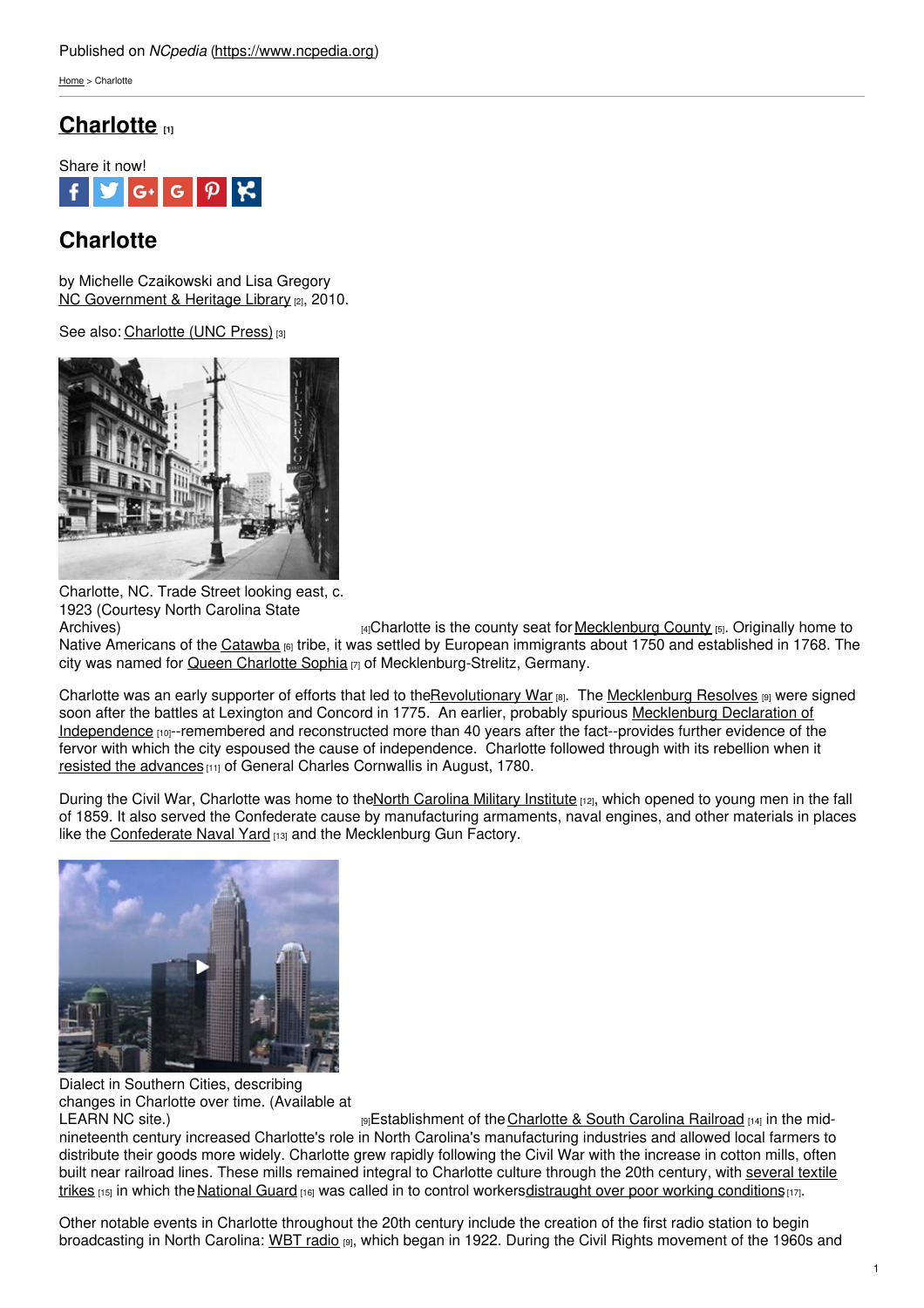[Home](https://www.ncpedia.org/) > Charlotte

## **[Charlotte](https://www.ncpedia.org/geography/charlotte) [1]**



# **Charlotte**

by Michelle Czaikowski and Lisa Gregory NC [Government](https://statelibrary.ncdcr.gov/) & Heritage Library [2], 2010.

See also: [Charlotte](https://www.ncpedia.org/charlotte) (UNC Press) [3]



Charlotte, NC. Trade Street looking east, c. 1923 (Courtesy North Carolina State

[Archives\)](https://www.flickr.com/photos/north-carolina-state-archives/2345371378/) **Example 2** and the county seat for [Mecklenburg](https://www.ncpedia.org/geography/mecklenburg) County <sub>[5]</sub>. Originally home to Native Americans of the [Catawba](http://www.catawbaindian.net/) is tribe, it was settled by European immigrants about 1750 and established in 1768. The city was named for Queen [Charlotte](https://www.cmstory.org) Sophia [7] of Mecklenburg-Strelitz, Germany.

Charlotte was an early supporter of efforts that led to th[eRevolutionary](https://www.ncpedia.org/exploring-north-carolina-history) War [8]. The [Mecklenburg](https://portal.ed.unc.edu) Resolves [9] were signed soon after the battles at Lexington and Concord in 1775. An earlier, probably spurious Mecklenburg Declaration of [Independence](https://www.ncpedia.org/mecklenburg-declaration) [10]--remembered and reconstructed more than 40 years after the fact--provides further evidence of the fervor with which the city espoused the cause of independence. Charlotte followed through with its rebellion when it resisted the [advances](http://www.ncmarkers.com/Markers.aspx?MarkerId=L-18) [11] of General Charles Cornwallis in August, 1780.

During the Civil War, Charlotte was home to the North [Carolina](https://www.ncpedia.org/north-carolina-military-institute) Military Institute [12], which opened to young men in the fall of 1859. It also served the Confederate cause by manufacturing armaments, naval engines, and other materials in places like the [Confederate](https://archive.org/details/confederatestate00alex) Naval Yard [13] and the Mecklenburg Gun Factory.



Dialect in Southern Cities, describing changes in Charlotte over time. (Available at

[LEARN](https://portal.ed.unc.edu) NC site.) **Example 3 Example 19 Example 1 Example 1 EXECUTE:**  $\theta$  **CONFIDE 19 EXECUTE:**  $\theta$  **EXECUTE:**  $\theta$  **EXECUTE:**  $\theta$  **EXECUTE:**  $\theta$  **EXECUTE:**  $\theta$  **EXECUTE:**  $\theta$  **EXECUTE:**  $\theta$  **EXECUTE:**  $\theta$ nineteenth century increased Charlotte's role in North Carolina's manufacturing industries and allowed local farmers to distribute their goods more widely. Charlotte grew rapidly following the Civil War with the increase in cotton mills, often built near railroad lines. These mills remained integral to Charlotte culture through the 20th century, with several textile trikes  $115$  in which the [National](https://www.ncpedia.org/national-guard) Guard  $116$  was called in to control [workersdistraught](http://www.ibiblio.org/sohp/laf/protest.html) over poor working conditions  $117$ .

Other notable events in Charlotte throughout the 20th century include the creation of the first radio station to begin broadcasting in North Carolina: [WBT](https://portal.ed.unc.edu) radio [9], which began in 1922. During the Civil Rights movement of the 1960s and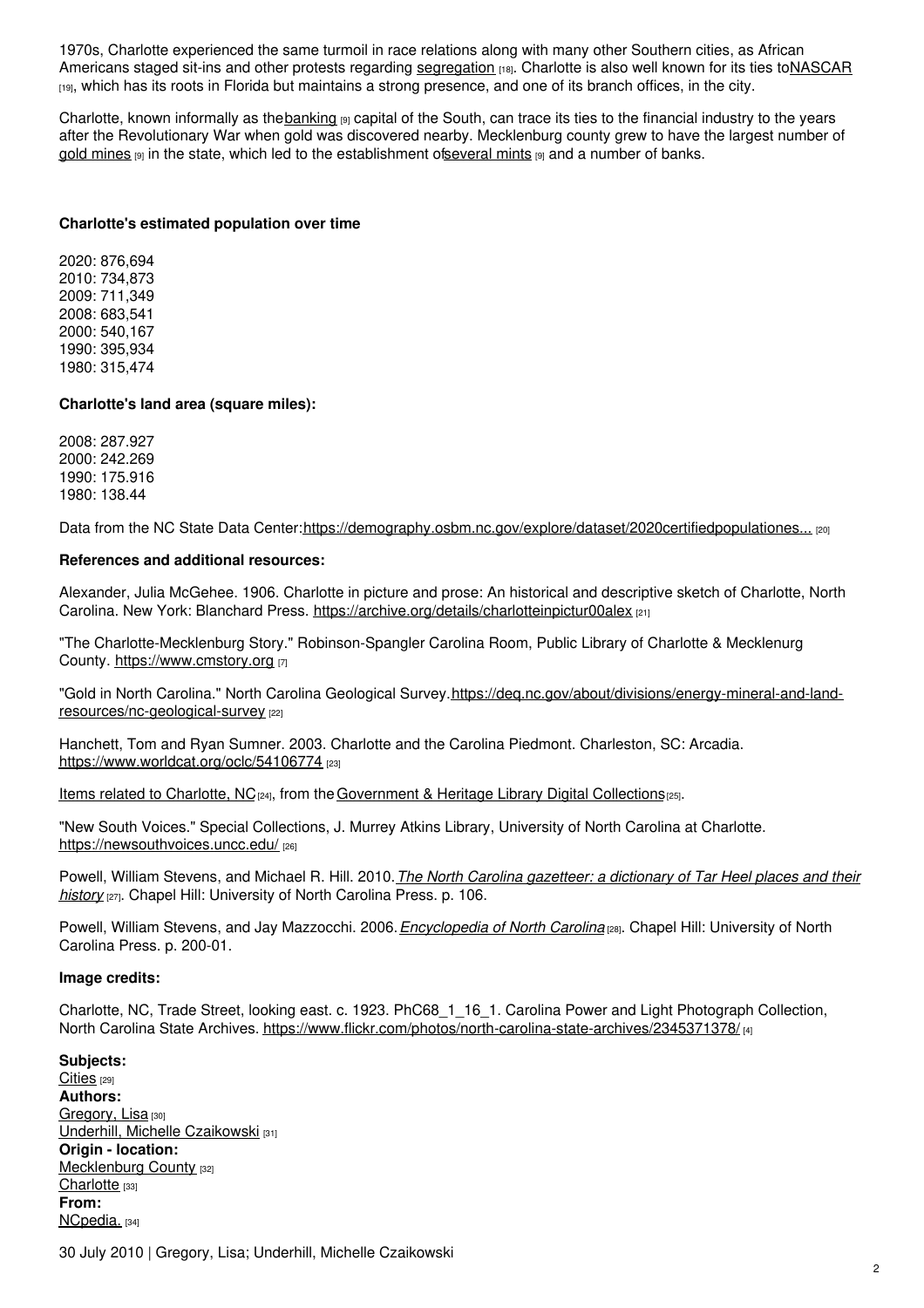1970s, Charlotte experienced the same turmoil in race relations along with many other Southern cities, as African Americans staged sit-ins and other protests regarding [segregation](http://www2.lib.unc.edu/stories/desegregation/index.html) [18]. Charlotte is also well known for its ties t[oNASCAR](https://www.ncpedia.org/nascar)  $[19]$ , which has its roots in Florida but maintains a strong presence, and one of its branch offices, in the city.

Charlotte, known informally as the [banking](https://portal.ed.unc.edu) [9] capital of the South, can trace its ties to the financial industry to the vears after the Revolutionary War when gold was discovered nearby. Mecklenburg county grew to have the largest number of gold [mines](https://portal.ed.unc.edu)  $\left|9\right|$  in the state, which led to the establishment of several mints  $\left|9\right|$  and a number of banks.

## **Charlotte's estimated population over time**

2020: 876,694 2010: 734,873 2009: 711,349 2008: 683,541 2000: 540,167 1990: 395,934 1980: 315,474

## **Charlotte's land area (square miles):**

2008: 287.927 2000: 242.269 1990: 175.916 1980: 138.44

Data from the NC State Data Center:[https://demography.osbm.nc.gov/explore/dataset/2020certifiedpopulationes...](https://demography.osbm.nc.gov/explore/dataset/2020certifiedpopulationestimates/table/?disjunctive.county&disjunctive.municipality&sort=municipality) [20]

## **References and additional resources:**

Alexander, Julia McGehee. 1906. Charlotte in picture and prose: An historical and descriptive sketch of Charlotte, North Carolina. New York: Blanchard Press. <https://archive.org/details/charlotteinpictur00alex> [21]

"The Charlotte-Mecklenburg Story." Robinson-Spangler Carolina Room, Public Library of Charlotte & Mecklenurg County. <https://www.cmstory.org> [7]

"Gold in North Carolina." North Carolina Geological Survey.https://deg.nc.gov/about/divisions/energy-mineral-and-landresources/nc-geological-survey [22]

Hanchett, Tom and Ryan Sumner. 2003. Charlotte and the Carolina Piedmont. Charleston, SC: Arcadia. <https://www.worldcat.org/oclc/54106774> [23]

Items related to [Charlotte,](http://digitalstatelibnc.cdmhost.com/cdm4/results.php?CISOOP1=exact&CISOFIELD1=CISOSEARCHALL&CISOROOT=all&CISOBOX1=Charlotte+%28Mecklenburg+County%2C+N.C.%29) NC<sub>[24]</sub>, from the [Government](https://digital.ncdcr.gov/) & Heritage Library Digital Collections<sup>[25]</sup>.

"New South Voices." Special Collections, J. Murrey Atkins Library, University of North Carolina at Charlotte. <https://newsouthvoices.uncc.edu/> [26]

Powell, William Stevens, and Michael R. Hill. 2010.*The North Carolina [gazetteer:](https://www.worldcat.org/title/north-carolina-gazetteer-a-dictionary-of-tar-heel-places-and-their-history/oclc/441211592) a dictionary of Tar Heel places and their history* [27]. Chapel Hill: University of North Carolina Press. p. 106.

Powell, William Stevens, and Jay Mazzocchi. 2006.*[Encyclopedia](https://www.worldcat.org/title/encyclopedia-of-north-carolina/oclc/67727572) of North Carolina* [28]. Chapel Hill: University of North Carolina Press. p. 200-01.

## **Image credits:**

Charlotte, NC, Trade Street, looking east. c. 1923. PhC68\_1\_16\_1. Carolina Power and Light Photograph Collection, North Carolina State Archives. <https://www.flickr.com/photos/north-carolina-state-archives/2345371378/> [4]

## **Subjects:**

[Cities](https://www.ncpedia.org/category/subjects/cities) [29] **Authors:** [Gregory,](https://www.ncpedia.org/category/authors/gregory-lisa) Lisa [30] Underhill, Michelle [Czaikowski](https://www.ncpedia.org/category/authors/czaikowski-michell) [31] **Origin - location:** [Mecklenburg](https://www.ncpedia.org/category/origin-location/piedmont/m) County [32] [Charlotte](https://www.ncpedia.org/category/origin-location/piedmon-24) [33] **From:** [NCpedia.](https://www.ncpedia.org/category/entry-source/ncpedia) [34]

30 July 2010 | Gregory, Lisa; Underhill, Michelle Czaikowski